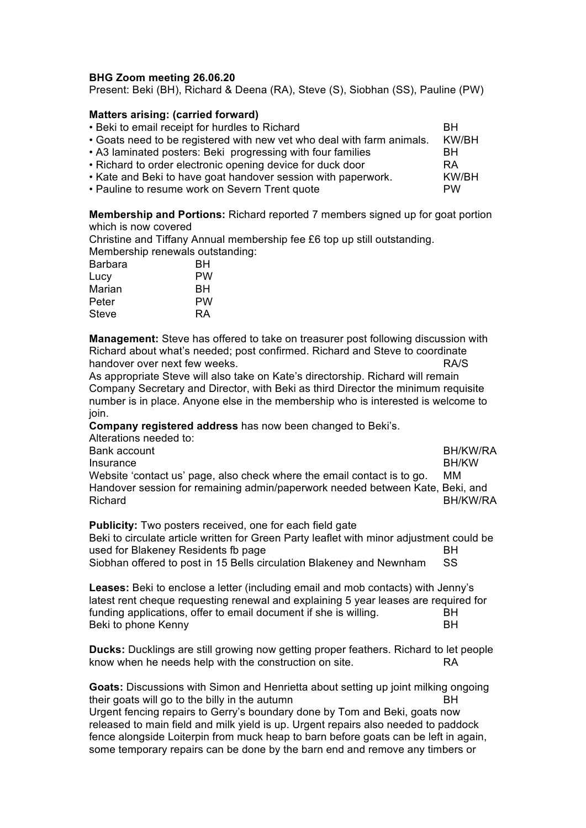## **BHG Zoom meeting 26.06.20**

Present: Beki (BH), Richard & Deena (RA), Steve (S), Siobhan (SS), Pauline (PW)

## **Matters arising: (carried forward)**

| • Beki to email receipt for hurdles to Richard                         | <b>BH</b> |
|------------------------------------------------------------------------|-----------|
| • Goats need to be registered with new vet who deal with farm animals. | KW/BH     |
| • A3 laminated posters: Beki progressing with four families            | BH.       |
| • Richard to order electronic opening device for duck door             | <b>RA</b> |
| • Kate and Beki to have goat handover session with paperwork.          | KW/BH     |
| • Pauline to resume work on Severn Trent quote                         | <b>PW</b> |

**Membership and Portions:** Richard reported 7 members signed up for goat portion which is now covered

Christine and Tiffany Annual membership fee £6 top up still outstanding. Membership renewals outstanding:

| PW        |
|-----------|
| BН        |
| PW        |
| <b>RA</b> |
|           |

**Management:** Steve has offered to take on treasurer post following discussion with Richard about what's needed; post confirmed. Richard and Steve to coordinate handover over next few weeks. The same state of the state of the RA/S

As appropriate Steve will also take on Kate's directorship. Richard will remain Company Secretary and Director, with Beki as third Director the minimum requisite number is in place. Anyone else in the membership who is interested is welcome to join.

**Company registered address** has now been changed to Beki's.

| Alterations needed to:                                                        |              |
|-------------------------------------------------------------------------------|--------------|
| Bank account                                                                  | BH/KW/RA     |
| Insurance                                                                     | <b>BH/KW</b> |
| Website 'contact us' page, also check where the email contact is to go.       | MМ           |
| Handover session for remaining admin/paperwork needed between Kate, Beki, and |              |
| Richard                                                                       | BH/KW/RA     |
|                                                                               |              |

**Publicity:** Two posters received, one for each field gate

Beki to circulate article written for Green Party leaflet with minor adjustment could be used for Blakeney Residents fb page BH Siobhan offered to post in 15 Bells circulation Blakeney and Newnham SS

**Leases:** Beki to enclose a letter (including email and mob contacts) with Jenny's latest rent cheque requesting renewal and explaining 5 year leases are required for funding applications, offer to email document if she is willing. BH Beki to phone Kenny BH

**Ducks:** Ducklings are still growing now getting proper feathers. Richard to let people know when he needs help with the construction on site. RA

**Goats:** Discussions with Simon and Henrietta about setting up joint milking ongoing their goats will go to the billy in the autumn **BH** Urgent fencing repairs to Gerry's boundary done by Tom and Beki, goats now released to main field and milk yield is up. Urgent repairs also needed to paddock fence alongside Loiterpin from muck heap to barn before goats can be left in again, some temporary repairs can be done by the barn end and remove any timbers or